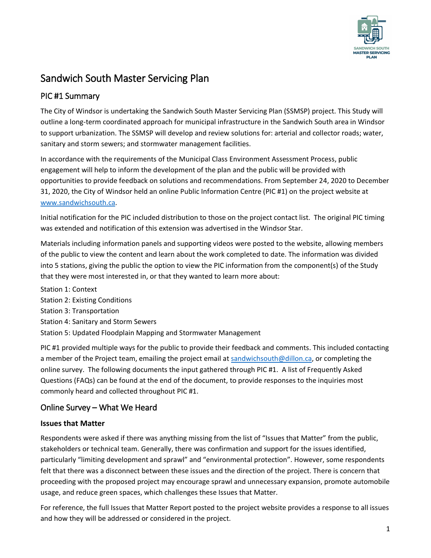

# Sandwich South Master Servicing Plan

# PIC #1 Summary

 The City of Windsor is undertaking the Sandwich South Master Servicing Plan (SSMSP) project. This Study will outline a long-term coordinated approach for municipal infrastructure in the Sandwich South area in Windsor to support urbanization. The SSMSP will develop and review solutions for: arterial and collector roads; water, sanitary and storm sewers; and stormwater management facilities.

In accordance with the requirements of the Municipal Class Environment Assessment Process, public engagement will help to inform the development of the plan and the public will be provided with opportunities to provide feedback on solutions and recommendations. From September 24, 2020 to December 31, 2020, the City of Windsor held an online Public Information Centre (PIC #1) on the project website at [www.sandwichsouth.ca.](http://www.sandwichsouth.ca/)

was extended and notification of this extension was advertised in the Windsor Star. Initial notification for the PIC included distribution to those on the project contact list. The original PIC timing

 of the public to view the content and learn about the work completed to date. The information was divided Materials including information panels and supporting videos were posted to the website, allowing members into 5 stations, giving the public the option to view the PIC information from the component(s) of the Study that they were most interested in, or that they wanted to learn more about:

Station 1: Context Station 2: Existing Conditions Station 3: Transportation Station 4: Sanitary and Storm Sewers Station 5: Updated Floodplain Mapping and Stormwater Management

a member of the Project team, emailing the project email at [sandwichsouth@dillon.ca,](mailto:sandwichsouth@dillon.ca) or completing the online survey. The following documents the input gathered through PIC #1. A list of Frequently Asked PIC #1 provided multiple ways for the public to provide their feedback and comments. This included contacting Questions (FAQs) can be found at the end of the document, to provide responses to the inquiries most commonly heard and collected throughout PIC #1.

# Online Survey – What We Heard

### **Issues that Matter**

Respondents were asked if there was anything missing from the list of "Issues that Matter" from the public, stakeholders or technical team. Generally, there was confirmation and support for the issues identified, particularly "limiting development and sprawl" and "environmental protection". However, some respondents felt that there was a disconnect between these issues and the direction of the project. There is concern that proceeding with the proposed project may encourage sprawl and unnecessary expansion, promote automobile usage, and reduce green spaces, which challenges these Issues that Matter.

For reference, the full Issues that Matter Report posted to the project website provides a response to all issues and how they will be addressed or considered in the project.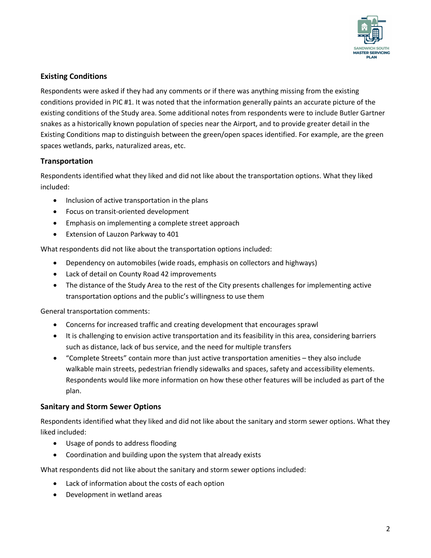

### **Existing Conditions**

 Respondents were asked if they had any comments or if there was anything missing from the existing conditions provided in PIC #1. It was noted that the information generally paints an accurate picture of the existing conditions of the Study area. Some additional notes from respondents were to include Butler Gartner snakes as a historically known population of species near the Airport, and to provide greater detail in the Existing Conditions map to distinguish between the green/open spaces identified. For example, are the green spaces wetlands, parks, naturalized areas, etc.

### **Transportation**

Respondents identified what they liked and did not like about the transportation options. What they liked included:

- Inclusion of active transportation in the plans
- Focus on transit-oriented development
- Emphasis on implementing a complete street approach
- Extension of Lauzon Parkway to 401

What respondents did not like about the transportation options included:

- Dependency on automobiles (wide roads, emphasis on collectors and highways)
- Lack of detail on County Road 42 improvements
- The distance of the Study Area to the rest of the City presents challenges for implementing active transportation options and the public's willingness to use them

General transportation comments:

- Concerns for increased traffic and creating development that encourages sprawl
- It is challenging to envision active transportation and its feasibility in this area, considering barriers such as distance, lack of bus service, and the need for multiple transfers
- • "Complete Streets" contain more than just active transportation amenities they also include Respondents would like more information on how these other features will be included as part of the walkable main streets, pedestrian friendly sidewalks and spaces, safety and accessibility elements. plan.

#### **Sanitary and Storm Sewer Options**

Respondents identified what they liked and did not like about the sanitary and storm sewer options. What they liked included:

- Usage of ponds to address flooding
- Coordination and building upon the system that already exists

What respondents did not like about the sanitary and storm sewer options included:

- Lack of information about the costs of each option
- Development in wetland areas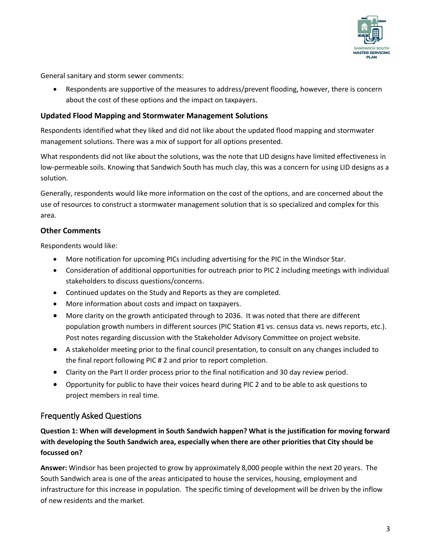

General sanitary and storm sewer comments:

• Respondents are supportive of the measures to address/prevent flooding, however, there is concern about the cost of these options and the impact on taxpayers.

### **Updated Flood Mapping and Stormwater Management Solutions**

Respondents identified what they liked and did not like about the updated flood mapping and stormwater management solutions. There was a mix of support for all options presented.

What respondents did not like about the solutions, was the note that LID designs have limited effectiveness in low-permeable soils. Knowing that Sandwich South has much clay, this was a concern for using LID designs as a solution.

 Generally, respondents would like more information on the cost of the options, and are concerned about the use of resources to construct a stormwater management solution that is so specialized and complex for this area.

### **Other Comments**

Respondents would like:

- More notification for upcoming PICs including advertising for the PIC in the Windsor Star.
- Consideration of additional opportunities for outreach prior to PIC 2 including meetings with individual stakeholders to discuss questions/concerns.
- Continued updates on the Study and Reports as they are completed.
- More information about costs and impact on taxpayers.
- Post notes regarding discussion with the Stakeholder Advisory Committee on project website. • More clarity on the growth anticipated through to 2036. It was noted that there are different population growth numbers in different sources (PIC Station #1 vs. census data vs. news reports, etc.).
- • A stakeholder meeting prior to the final council presentation, to consult on any changes included to the final report following PIC # 2 and prior to report completion.
- Clarity on the Part II order process prior to the final notification and 30 day review period.
- • Opportunity for public to have their voices heard during PIC 2 and to be able to ask questions to project members in real time.

### Frequently Asked Questions

**Question 1: When will development in South Sandwich happen? What is the justification for moving forward with developing the South Sandwich area, especially when there are other priorities that City should be focussed on?** 

**Answer:** Windsor has been projected to grow by approximately 8,000 people within the next 20 years. The South Sandwich area is one of the areas anticipated to house the services, housing, employment and infrastructure for this increase in population. The specific timing of development will be driven by the inflow of new residents and the market.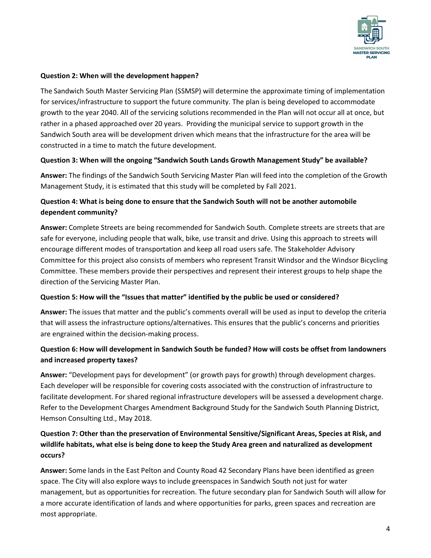

#### **Question 2: When will the development happen?**

 The Sandwich South Master Servicing Plan (SSMSP) will determine the approximate timing of implementation Sandwich South area will be development driven which means that the infrastructure for the area will be for services/infrastructure to support the future community. The plan is being developed to accommodate growth to the year 2040. All of the servicing solutions recommended in the Plan will not occur all at once, but rather in a phased approached over 20 years. Providing the municipal service to support growth in the constructed in a time to match the future development.

#### **Question 3: When will the ongoing "Sandwich South Lands Growth Management Study" be available?**

 **Answer:** The findings of the Sandwich South Servicing Master Plan will feed into the completion of the Growth Management Study, it is estimated that this study will be completed by Fall 2021.

### **Question 4: What is being done to ensure that the Sandwich South will not be another automobile dependent community?**

 safe for everyone, including people that walk, bike, use transit and drive. Using this approach to streets will **Answer:** Complete Streets are being recommended for Sandwich South. Complete streets are streets that are encourage different modes of transportation and keep all road users safe. The Stakeholder Advisory Committee for this project also consists of members who represent Transit Windsor and the Windsor Bicycling Committee. These members provide their perspectives and represent their interest groups to help shape the direction of the Servicing Master Plan.

#### **Question 5: How will the "Issues that matter" identified by the public be used or considered?**

**Answer:** The issues that matter and the public's comments overall will be used as input to develop the criteria that will assess the infrastructure options/alternatives. This ensures that the public's concerns and priorities are engrained within the decision-making process.

# **Question 6: How will development in Sandwich South be funded? How will costs be offset from landowners and increased property taxes?**

**Answer:** "Development pays for development" (or growth pays for growth) through development charges. Each developer will be responsible for covering costs associated with the construction of infrastructure to facilitate development. For shared regional infrastructure developers will be assessed a development charge. Refer to the Development Charges Amendment Background Study for the Sandwich South Planning District, Hemson Consulting Ltd., May 2018.

# **Question 7: Other than the preservation of Environmental Sensitive/Significant Areas, Species at Risk, and wildlife habitats, what else is being done to keep the Study Area green and naturalized as development occurs?**

 space. The City will also explore ways to include greenspaces in Sandwich South not just for water **Answer:** Some lands in the East Pelton and County Road 42 Secondary Plans have been identified as green management, but as opportunities for recreation. The future secondary plan for Sandwich South will allow for a more accurate identification of lands and where opportunities for parks, green spaces and recreation are most appropriate.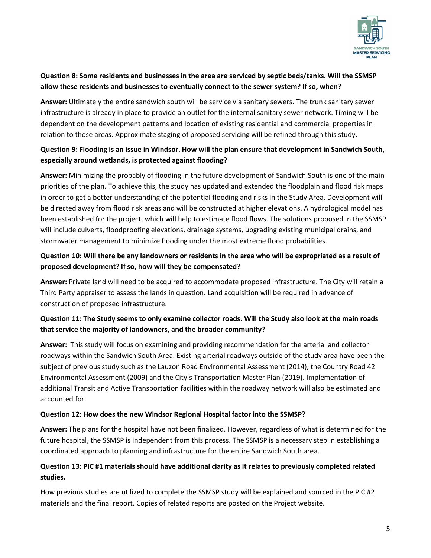

# **Question 8: Some residents and businesses in the area are serviced by septic beds/tanks. Will the SSMSP allow these residents and businesses to eventually connect to the sewer system? If so, when?**

**Answer:** Ultimately the entire sandwich south will be service via sanitary sewers. The trunk sanitary sewer infrastructure is already in place to provide an outlet for the internal sanitary sewer network. Timing will be dependent on the development patterns and location of existing residential and commercial properties in relation to those areas. Approximate staging of proposed servicing will be refined through this study.

## **Question 9: Flooding is an issue in Windsor. How will the plan ensure that development in Sandwich South, especially around wetlands, is protected against flooding?**

 in order to get a better understanding of the potential flooding and risks in the Study Area. Development will **Answer:** Minimizing the probably of flooding in the future development of Sandwich South is one of the main priorities of the plan. To achieve this, the study has updated and extended the floodplain and flood risk maps be directed away from flood risk areas and will be constructed at higher elevations. A hydrological model has been established for the project, which will help to estimate flood flows. The solutions proposed in the SSMSP will include culverts, floodproofing elevations, drainage systems, upgrading existing municipal drains, and stormwater management to minimize flooding under the most extreme flood probabilities.

# **Question 10: Will there be any landowners or residents in the area who will be expropriated as a result of proposed development? If so, how will they be compensated?**

**Answer:** Private land will need to be acquired to accommodate proposed infrastructure. The City will retain a Third Party appraiser to assess the lands in question. Land acquisition will be required in advance of construction of proposed infrastructure.

# **Question 11: The Study seems to only examine collector roads. Will the Study also look at the main roads that service the majority of landowners, and the broader community?**

 **Answer:** This study will focus on examining and providing recommendation for the arterial and collector roadways within the Sandwich South Area. Existing arterial roadways outside of the study area have been the subject of previous study such as the Lauzon Road Environmental Assessment (2014), the Country Road 42 Environmental Assessment (2009) and the City's Transportation Master Plan (2019). Implementation of additional Transit and Active Transportation facilities within the roadway network will also be estimated and accounted for.

### **Question 12: How does the new Windsor Regional Hospital factor into the SSMSP?**

 coordinated approach to planning and infrastructure for the entire Sandwich South area. **Answer:** The plans for the hospital have not been finalized. However, regardless of what is determined for the future hospital, the SSMSP is independent from this process. The SSMSP is a necessary step in establishing a

# **Question 13: PIC #1 materials should have additional clarity as it relates to previously completed related studies.**

 materials and the final report. Copies of related reports are posted on the Project website. How previous studies are utilized to complete the SSMSP study will be explained and sourced in the PIC #2